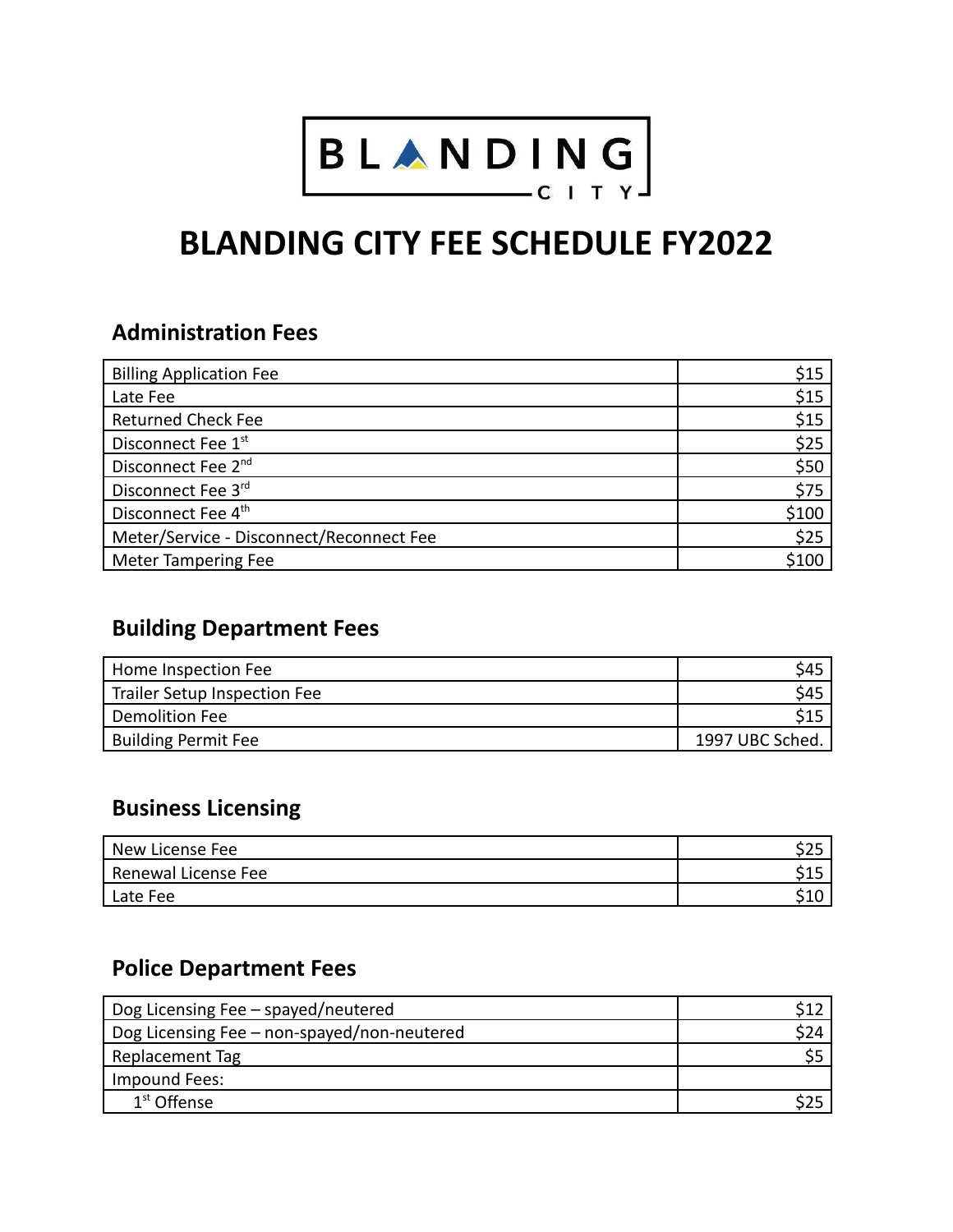

# **BLANDING CITY FEE SCHEDULE FY2022**

## **Administration Fees**

| <b>Billing Application Fee</b>           | \$15  |
|------------------------------------------|-------|
| Late Fee                                 | \$15  |
| <b>Returned Check Fee</b>                | \$15  |
| Disconnect Fee 1st                       | \$25  |
| Disconnect Fee 2 <sup>nd</sup>           | \$50  |
| Disconnect Fee 3rd                       | \$75  |
| Disconnect Fee 4 <sup>th</sup>           | \$100 |
| Meter/Service - Disconnect/Reconnect Fee | \$25  |
| Meter Tampering Fee                      | \$100 |

## **Building Department Fees**

| Home Inspection Fee          | \$45            |
|------------------------------|-----------------|
| Trailer Setup Inspection Fee | \$45            |
| Demolition Fee               | \$15            |
| <b>Building Permit Fee</b>   | 1997 UBC Sched. |

## **Business Licensing**

| New License Fee     |            |
|---------------------|------------|
| Renewal License Fee | <b>CAF</b> |
| Late Fee            | <b>C10</b> |

#### **Police Department Fees**

| Dog Licensing Fee - spayed/neutered         |  |
|---------------------------------------------|--|
| Dog Licensing Fee - non-spayed/non-neutered |  |
| Replacement Tag                             |  |
| Impound Fees:                               |  |
| $1st$ Offense                               |  |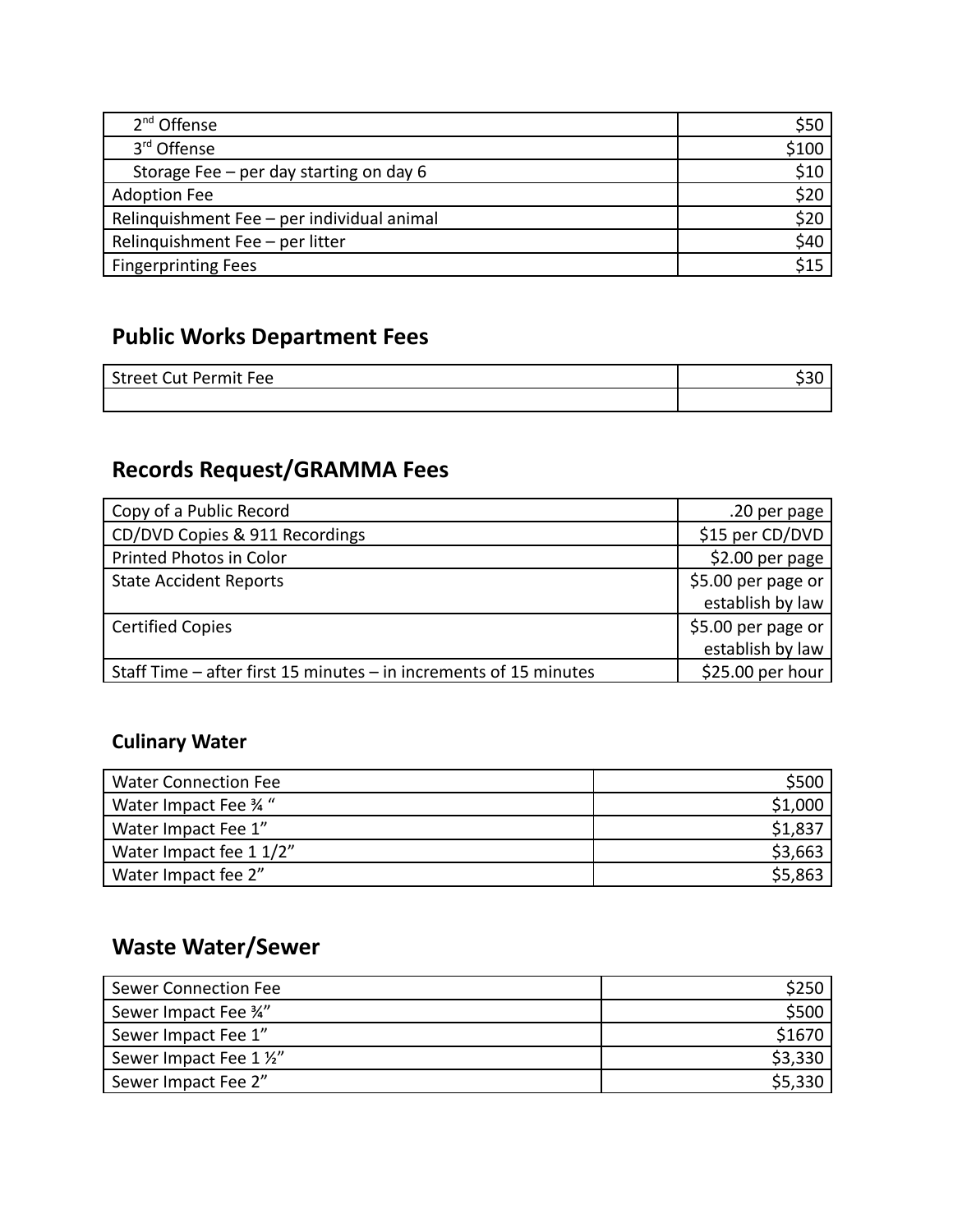| 2 <sup>nd</sup> Offense                    | \$50  |
|--------------------------------------------|-------|
| 3rd Offense                                | \$100 |
| Storage Fee - per day starting on day 6    | \$10  |
| <b>Adoption Fee</b>                        | \$20  |
| Relinquishment Fee - per individual animal | \$20  |
| Relinquishment Fee - per litter            | \$40  |
| <b>Fingerprinting Fees</b>                 | \$15  |

# **Public Works Department Fees**

| <b>Street Cut Permit Fee</b> |  |
|------------------------------|--|
|                              |  |

# **Records Request/GRAMMA Fees**

| Copy of a Public Record                                           | .20 per page       |
|-------------------------------------------------------------------|--------------------|
| CD/DVD Copies & 911 Recordings                                    | \$15 per CD/DVD    |
| Printed Photos in Color                                           | \$2.00 per page    |
| <b>State Accident Reports</b>                                     | \$5.00 per page or |
|                                                                   | establish by law   |
| <b>Certified Copies</b>                                           | \$5.00 per page or |
|                                                                   | establish by law   |
| Staff Time - after first 15 minutes - in increments of 15 minutes | \$25.00 per hour   |

#### **Culinary Water**

| <b>Water Connection Fee</b> |         |
|-----------------------------|---------|
| Water Impact Fee 34"        | \$1,000 |
| Water Impact Fee 1"         | \$1,837 |
| Water Impact fee 1 1/2"     | \$3,663 |
| Water Impact fee 2"         | \$5,863 |

# **Waste Water/Sewer**

| Sewer Connection Fee    |         |
|-------------------------|---------|
| Sewer Impact Fee 34"    | \$500   |
| Sewer Impact Fee 1"     | \$1670  |
| Sewer Impact Fee 1 1/2" | \$3,330 |
| Sewer Impact Fee 2"     | \$5,330 |